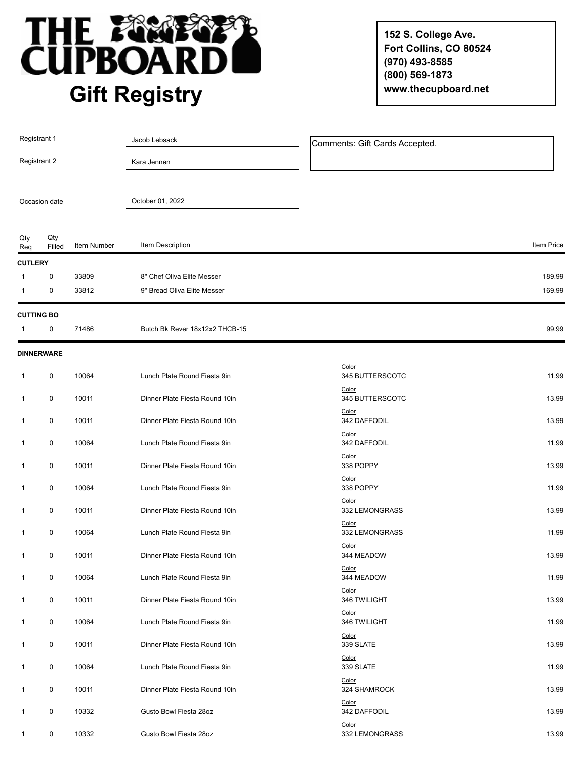

**152 S. College Ave. Fort Collins, CO 80524 (970) 493-8585 (800) 569-1873 www.thecupboard.net**

| Registrant 1<br>Registrant 2 |                   |             | Jacob Lebsack<br>Kara Jennen   | Comments: Gift Cards Accepted. |            |
|------------------------------|-------------------|-------------|--------------------------------|--------------------------------|------------|
|                              |                   |             |                                |                                |            |
| Occasion date                |                   |             | October 01, 2022               |                                |            |
| Qty<br>Req                   | Qty<br>Filled     | Item Number | Item Description               |                                | Item Price |
| <b>CUTLERY</b>               |                   |             |                                |                                |            |
| 1                            | 0                 | 33809       | 8" Chef Oliva Elite Messer     |                                | 189.99     |
| 1                            | 0                 | 33812       | 9" Bread Oliva Elite Messer    |                                | 169.99     |
| <b>CUTTING BO</b>            |                   |             |                                |                                |            |
| -1                           | 0                 | 71486       | Butch Bk Rever 18x12x2 THCB-15 |                                | 99.99      |
|                              | <b>DINNERWARE</b> |             |                                |                                |            |
| 1                            | 0                 | 10064       | Lunch Plate Round Fiesta 9in   | Color<br>345 BUTTERSCOTC       | 11.99      |
| $\mathbf{1}$                 | 0                 | 10011       | Dinner Plate Fiesta Round 10in | Color<br>345 BUTTERSCOTC       | 13.99      |
| $\mathbf{1}$                 | 0                 | 10011       | Dinner Plate Fiesta Round 10in | Color<br>342 DAFFODIL          | 13.99      |
| $\mathbf{1}$                 | 0                 | 10064       | Lunch Plate Round Fiesta 9in   | Color<br>342 DAFFODIL          | 11.99      |
| 1                            | $\pmb{0}$         | 10011       | Dinner Plate Fiesta Round 10in | Color<br>338 POPPY             | 13.99      |
| 1                            | 0                 | 10064       | Lunch Plate Round Fiesta 9in   | Color<br>338 POPPY             | 11.99      |
| $\mathbf{1}$                 | 0                 | 10011       | Dinner Plate Fiesta Round 10in | Color<br>332 LEMONGRASS        | 13.99      |
| 1                            | 0                 | 10064       | Lunch Plate Round Fiesta 9in   | Color<br>332 LEMONGRASS        | 11.99      |
| $\mathbf{1}$                 | 0                 | 10011       | Dinner Plate Fiesta Round 10in | Color<br>344 MEADOW            | 13.99      |
| $\mathbf{1}$                 | 0                 | 10064       | Lunch Plate Round Fiesta 9in   | Color<br>344 MEADOW            | 11.99      |
| $\mathbf{1}$                 | 0                 | 10011       | Dinner Plate Fiesta Round 10in | Color<br>346 TWILIGHT          | 13.99      |
| $\mathbf{1}$                 | 0                 | 10064       | Lunch Plate Round Fiesta 9in   | Color<br>346 TWILIGHT          | 11.99      |
| 1                            | 0                 | 10011       | Dinner Plate Fiesta Round 10in | Color<br>339 SLATE             | 13.99      |
| 1                            | $\pmb{0}$         | 10064       | Lunch Plate Round Fiesta 9in   | Color<br>339 SLATE             | 11.99      |
| 1                            | 0                 | 10011       | Dinner Plate Fiesta Round 10in | Color<br>324 SHAMROCK          | 13.99      |
| 1                            | 0                 | 10332       | Gusto Bowl Fiesta 28oz         | Color<br>342 DAFFODIL          | 13.99      |
| 1                            | 0                 | 10332       | Gusto Bowl Fiesta 28oz         | Color<br>332 LEMONGRASS        | 13.99      |